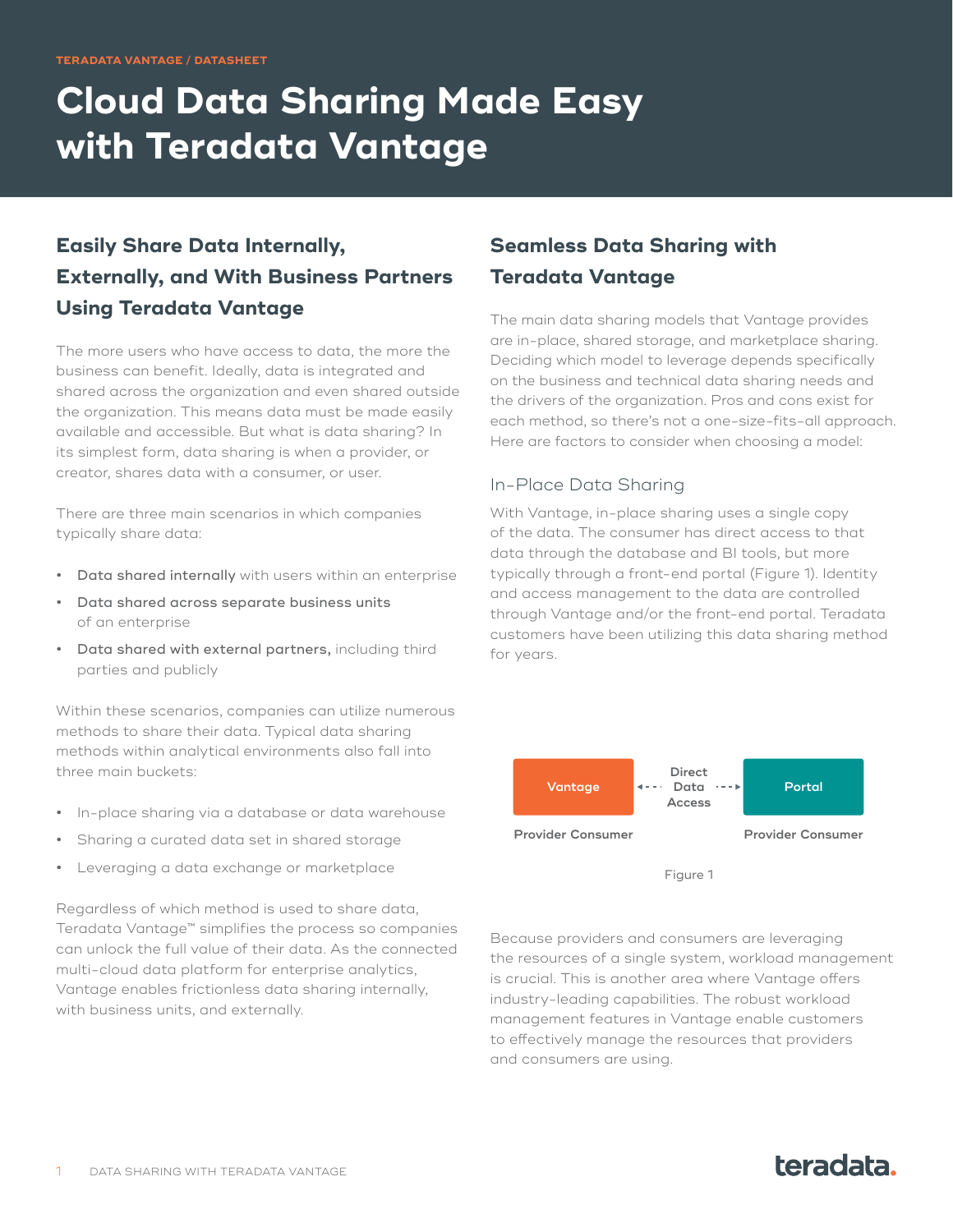# **Cloud Data Sharing Made Easy with Teradata Vantage**

# **Easily Share Data Internally, Externally, and With Business Partners Using Teradata Vantage**

The more users who have access to data, the more the business can benefit. Ideally, data is integrated and shared across the organization and even shared outside the organization. This means data must be made easily available and accessible. But what is data sharing? In its simplest form, data sharing is when a provider, or creator, shares data with a consumer, or user.

There are three main scenarios in which companies typically share data:

- **•** Data shared internally with users within an enterprise
- **•** Data shared across separate business units of an enterprise
- **•** Data shared with external partners, including third parties and publicly

Within these scenarios, companies can utilize numerous methods to share their data. Typical data sharing methods within analytical environments also fall into three main buckets:

- **•** In-place sharing via a database or data warehouse
- **•** Sharing a curated data set in shared storage
- **•** Leveraging a data exchange or marketplace

Regardless of which method is used to share data, Teradata Vantage™ simplifies the process so companies can unlock the full value of their data. As the connected multi-cloud data platform for enterprise analytics, Vantage enables frictionless data sharing internally, with business units, and externally.

## **Seamless Data Sharing with Teradata Vantage**

The main data sharing models that Vantage provides are in-place, shared storage, and marketplace sharing. Deciding which model to leverage depends specifically on the business and technical data sharing needs and the drivers of the organization. Pros and cons exist for each method, so there's not a one-size-fits-all approach. Here are factors to consider when choosing a model:

#### In-Place Data Sharing

With Vantage, in-place sharing uses a single copy of the data. The consumer has direct access to that data through the database and BI tools, but more typically through a front-end portal (Figure 1). Identity and access management to the data are controlled through Vantage and/or the front-end portal. Teradata customers have been utilizing this data sharing method for years.



Because providers and consumers are leveraging the resources of a single system, workload management is crucial. This is another area where Vantage offers industry-leading capabilities. The robust workload management features in Vantage enable customers to effectively manage the resources that providers and consumers are using.

# teradata.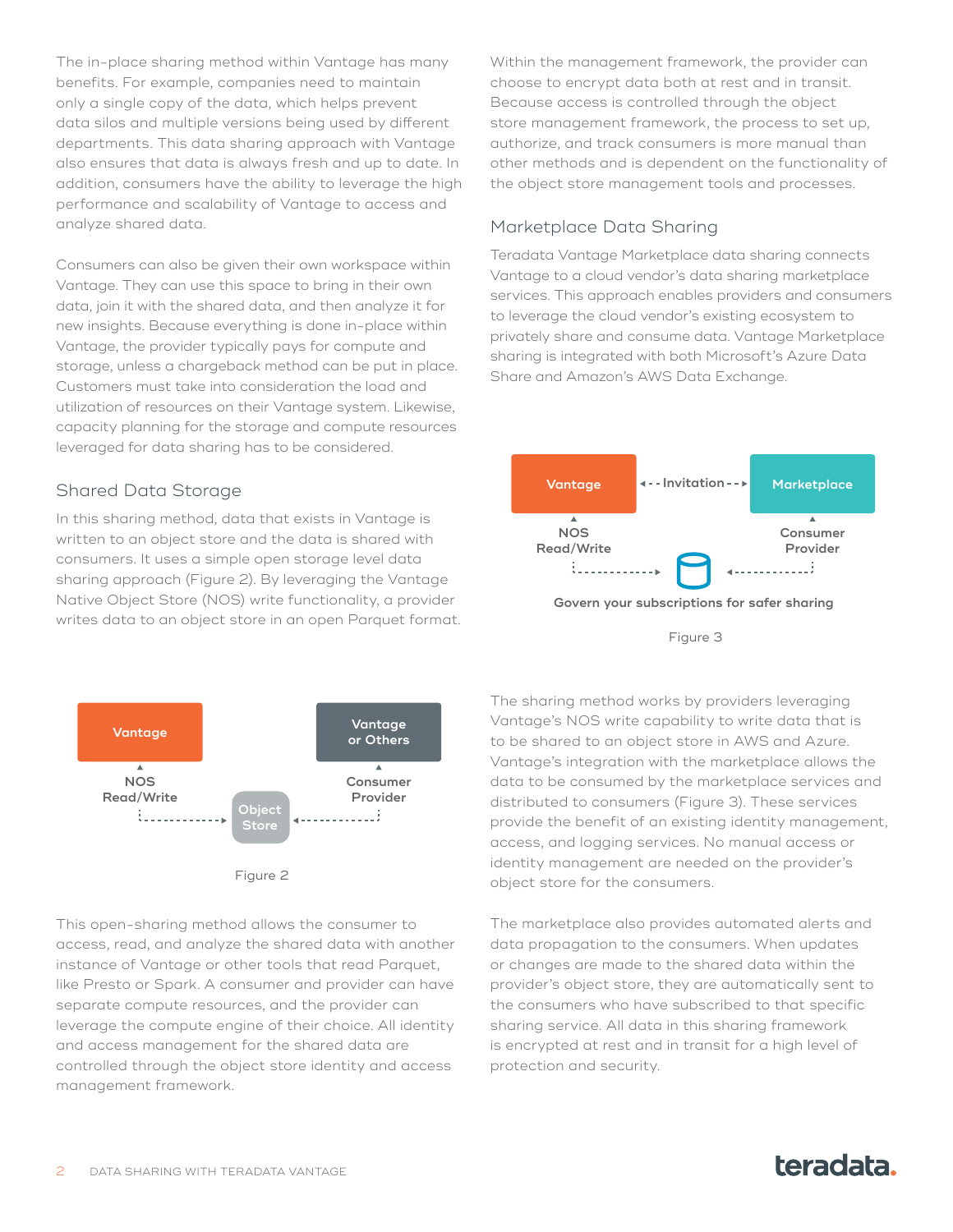The in-place sharing method within Vantage has many benefits. For example, companies need to maintain only a single copy of the data, which helps prevent data silos and multiple versions being used by different departments. This data sharing approach with Vantage also ensures that data is always fresh and up to date. In addition, consumers have the ability to leverage the high performance and scalability of Vantage to access and analyze shared data.

Consumers can also be given their own workspace within Vantage. They can use this space to bring in their own data, join it with the shared data, and then analyze it for new insights. Because everything is done in-place within Vantage, the provider typically pays for compute and storage, unless a chargeback method can be put in place. Customers must take into consideration the load and utilization of resources on their Vantage system. Likewise, capacity planning for the storage and compute resources leveraged for data sharing has to be considered.

#### Shared Data Storage

In this sharing method, data that exists in Vantage is written to an object store and the data is shared with consumers. It uses a simple open storage level data sharing approach (Figure 2). By leveraging the Vantage Native Object Store (NOS) write functionality, a provider writes data to an object store in an open Parquet format.



This open-sharing method allows the consumer to access, read, and analyze the shared data with another instance of Vantage or other tools that read Parquet, like Presto or Spark. A consumer and provider can have separate compute resources, and the provider can leverage the compute engine of their choice. All identity and access management for the shared data are controlled through the object store identity and access management framework.

Within the management framework, the provider can choose to encrypt data both at rest and in transit. Because access is controlled through the object store management framework, the process to set up, authorize, and track consumers is more manual than other methods and is dependent on the functionality of the object store management tools and processes.

### Marketplace Data Sharing

Teradata Vantage Marketplace data sharing connects Vantage to a cloud vendor's data sharing marketplace services. This approach enables providers and consumers to leverage the cloud vendor's existing ecosystem to privately share and consume data. Vantage Marketplace sharing is integrated with both Microsoft's Azure Data Share and Amazon's AWS Data Exchange.





The sharing method works by providers leveraging Vantage's NOS write capability to write data that is to be shared to an object store in AWS and Azure. Vantage's integration with the marketplace allows the data to be consumed by the marketplace services and distributed to consumers (Figure 3). These services provide the benefit of an existing identity management, access, and logging services. No manual access or identity management are needed on the provider's object store for the consumers.

The marketplace also provides automated alerts and data propagation to the consumers. When updates or changes are made to the shared data within the provider's object store, they are automatically sent to the consumers who have subscribed to that specific sharing service. All data in this sharing framework is encrypted at rest and in transit for a high level of protection and security.